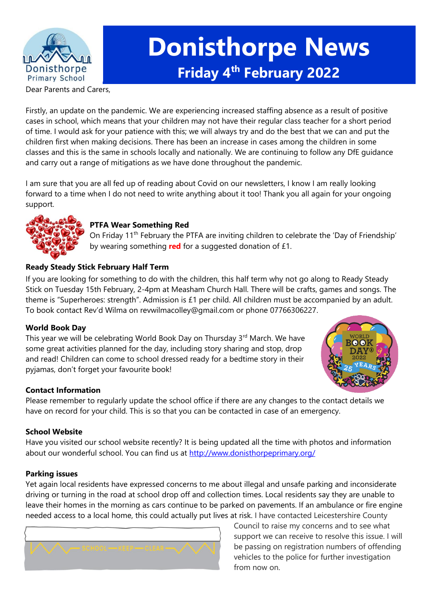

# **Donisthorpe News Friday 4 th February 2022**

Dear Parents and Carers,

Firstly, an update on the pandemic. We are experiencing increased staffing absence as a result of positive cases in school, which means that your children may not have their regular class teacher for a short period of time. I would ask for your patience with this; we will always try and do the best that we can and put the children first when making decisions. There has been an increase in cases among the children in some classes and this is the same in schools locally and nationally. We are continuing to follow any DfE guidance and carry out a range of mitigations as we have done throughout the pandemic.

I am sure that you are all fed up of reading about Covid on our newsletters, I know I am really looking forward to a time when I do not need to write anything about it too! Thank you all again for your ongoing support.



# **PTFA Wear Something Red**

On Friday 11<sup>th</sup> February the PTFA are inviting children to celebrate the 'Day of Friendship' by wearing something **red** for a suggested donation of £1.

# **Ready Steady Stick February Half Term**

If you are looking for something to do with the children, this half term why not go along to Ready Steady Stick on Tuesday 15th February, 2-4pm at Measham Church Hall. There will be crafts, games and songs. The theme is "Superheroes: strength". Admission is £1 per child. All children must be accompanied by an adult. To book contact Rev'd Wilma on revwilmacolley@gmail.com or phone 07766306227.

# **World Book Day**

This year we will be celebrating World Book Day on Thursday 3<sup>rd</sup> March. We have some great activities planned for the day, including story sharing and stop, drop and read! Children can come to school dressed ready for a bedtime story in their pyjamas, don't forget your favourite book!



# **Contact Information**

Please remember to regularly update the school office if there are any changes to the contact details we have on record for your child. This is so that you can be contacted in case of an emergency.

# **School Website**

Have you visited our school website recently? It is being updated all the time with photos and information about our wonderful school. You can find us at<http://www.donisthorpeprimary.org/>

#### **Parking issues**

Yet again local residents have expressed concerns to me about illegal and unsafe parking and inconsiderate driving or turning in the road at school drop off and collection times. Local residents say they are unable to leave their homes in the morning as cars continue to be parked on pavements. If an ambulance or fire engine needed access to a local home, this could actually put lives at risk. I have contacted Leicestershire County



Council to raise my concerns and to see what support we can receive to resolve this issue. I will be passing on registration numbers of offending vehicles to the police for further investigation from now on.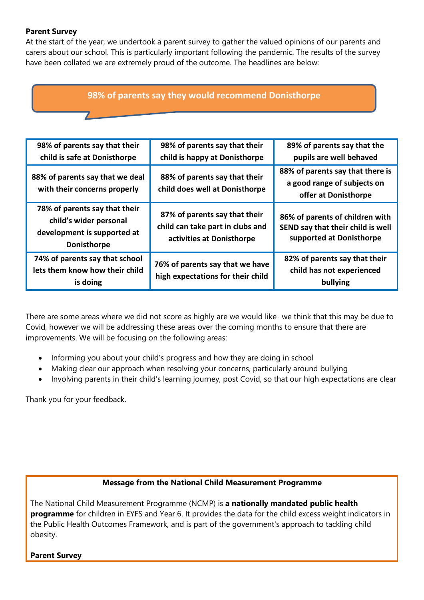# **Parent Survey**

At the start of the year, we undertook a parent survey to gather the valued opinions of our parents and carers about our school. This is particularly important following the pandemic. The results of the survey have been collated we are extremely proud of the outcome. The headlines are below:

# **98% of parents say they would recommend Donisthorpe**

| 98% of parents say that their<br>child is safe at Donisthorpe                                                | 98% of parents say that their<br>child is happy at Donisthorpe                                 | 89% of parents say that the<br>pupils are well behaved                                           |
|--------------------------------------------------------------------------------------------------------------|------------------------------------------------------------------------------------------------|--------------------------------------------------------------------------------------------------|
| 88% of parents say that we deal<br>with their concerns properly                                              | 88% of parents say that their<br>child does well at Donisthorpe                                | 88% of parents say that there is<br>a good range of subjects on<br>offer at Donisthorpe          |
| 78% of parents say that their<br>child's wider personal<br>development is supported at<br><b>Donisthorpe</b> | 87% of parents say that their<br>child can take part in clubs and<br>activities at Donisthorpe | 86% of parents of children with<br>SEND say that their child is well<br>supported at Donisthorpe |
| 74% of parents say that school<br>lets them know how their child<br>is doing                                 | 76% of parents say that we have<br>high expectations for their child                           | 82% of parents say that their<br>child has not experienced<br>bullying                           |

There are some areas where we did not score as highly are we would like- we think that this may be due to Covid, however we will be addressing these areas over the coming months to ensure that there are improvements. We will be focusing on the following areas:

- Informing you about your child's progress and how they are doing in school
- Making clear our approach when resolving your concerns, particularly around bullying
- Involving parents in their child's learning journey, post Covid, so that our high expectations are clear

Thank you for your feedback.

# **Message from the National Child Measurement Programme**

The National Child Measurement Programme (NCMP) is **a nationally mandated public health programme** for children in EYFS and Year 6. It provides the data for the child excess weight indicators in the Public Health Outcomes Framework, and is part of the government's approach to tackling child obesity.

**Parent Survey**